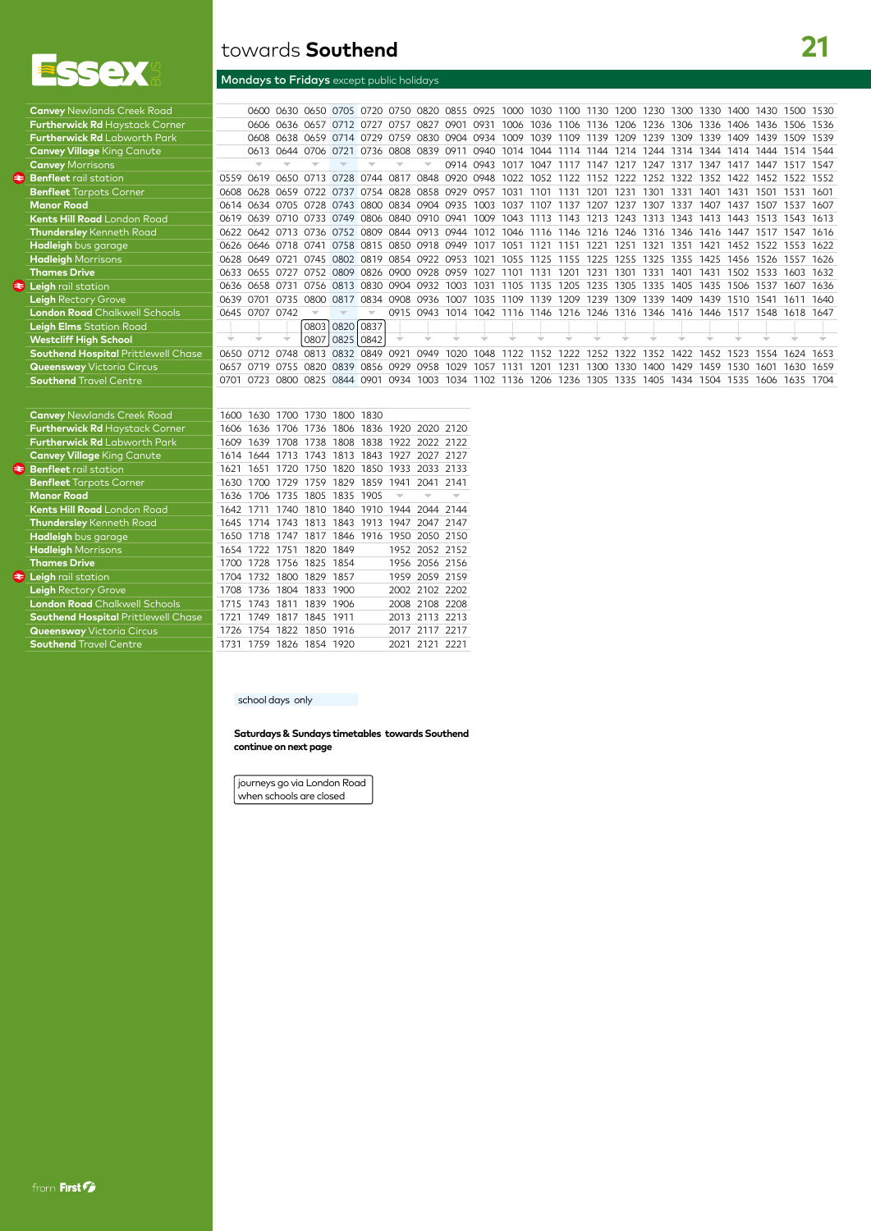

# towards **Southend**

### Mondays to Fridays except public holidays

|   | <b>Canvey</b> Newlands Creek Road          |      |                          | 0600 0630 0650 0705 0720 0750 0820 0855 0925      |           |                |                                    |      |                |                          |      |                |           |                          |           |           |      |      | 1000 1030 1100 1130 1200 1230 1300 1330 1400 1430 1500 1530                                                   |                          |           |                |       |
|---|--------------------------------------------|------|--------------------------|---------------------------------------------------|-----------|----------------|------------------------------------|------|----------------|--------------------------|------|----------------|-----------|--------------------------|-----------|-----------|------|------|---------------------------------------------------------------------------------------------------------------|--------------------------|-----------|----------------|-------|
|   | <b>Furtherwick Rd Haystack Corner</b>      |      |                          | 0606 0636 0657 0712 0727 0757 0827 0901 0931      |           |                |                                    |      |                |                          |      |                |           |                          |           |           |      |      | 1006 1036 1106 1136 1206 1236 1306 1336 1406 1436 1506 1536                                                   |                          |           |                |       |
|   | <b>Furtherwick Rd Labworth Park</b>        |      |                          |                                                   |           |                |                                    |      |                |                          |      |                |           |                          |           |           |      |      | 0608 0638 0659 0714 0729 0759 0830 0904 0934 1009 1039 1109 1139 1209 1239 1309 1339 1409 1439 1509           |                          |           |                | 1539  |
|   | <b>Canvey Village King Canute</b>          |      |                          | 0613 0644 0706 0721                               |           |                | 0736 0808 0839 0911 0940           |      |                |                          |      |                |           |                          |           |           |      |      | 1014 1044 1114 1144 1214 1244 1314 1344 1414                                                                  |                          |           | 1444 1514 1544 |       |
|   | <b>Canvey Morrisons</b>                    |      | $\overline{\phantom{a}}$ |                                                   |           |                |                                    |      |                | 0914 0943                |      | 1017 1047      |           | 1117                     | 1147      | 1217      | 1247 | 1317 | 1347                                                                                                          | 1417 1447                |           | 1517 1547      |       |
|   | <b>Benfleet</b> rail station               |      |                          | 0559 0619 0650 0713 0728 0744 0817                |           |                |                                    |      | 0848 0920 0948 |                          |      |                |           |                          |           |           |      |      | 1022 1052 1122 1152 1222 1252 1322 1352 1422                                                                  |                          |           | 1452 1522 1552 |       |
|   | <b>Benfleet Tarpots Corner</b>             |      |                          | 0608 0628 0659 0722 0737 0754 0828 0858 0929 0957 |           |                |                                    |      |                |                          |      |                |           | 1031 1101 1131           | 1201 1231 |           | 1301 | 1331 |                                                                                                               | 1401 1431 1501 1531 1601 |           |                |       |
|   | <b>Manor Road</b>                          |      |                          | 0614 0634 0705 0728 0743 0800 0834 0904 0935 1003 |           |                |                                    |      |                |                          |      | 1037           |           | 1107 1137                | 1207      | 1237      | 1307 | 1337 | 1407                                                                                                          | 1437 1507 1537           |           |                | 1607  |
|   | Kents Hill Road London Road                |      |                          | 0619 0639 0710 0733 0749 0806 0840 0910 0941 1009 |           |                |                                    |      |                |                          |      |                |           | 1043 1113 1143           |           |           |      |      | 1213 1243 1313 1343 1413 1443 1513 1543 1613                                                                  |                          |           |                |       |
|   | <b>Thundersley</b> Kenneth Road            |      |                          | 0622 0642 0713 0736 0752 0809 0844 0913 0944 1012 |           |                |                                    |      |                |                          |      | 1046           |           | 1116 1146                | 1216      | 1246 1316 |      |      | 1346 1416 1447                                                                                                |                          | 1517 1547 |                | -1616 |
|   | Hadleigh bus garage                        |      |                          | 0626 0646 0718 0741 0758 0815 0850 0918 0949 1017 |           |                |                                    |      |                |                          |      |                |           | 1051 1121 1151 1221 1251 |           |           | 1321 |      | 1351 1421                                                                                                     | 1452 1522 1553 1622      |           |                |       |
|   | <b>Hadleigh</b> Morrisons                  |      |                          | 0628 0649 0721 0745 0802 0819 0854 0922 0953 1021 |           |                |                                    |      |                |                          |      |                | 1055 1125 | 1155 1225 1255 1325      |           |           |      |      | 1355 1425 1456 1526 1557                                                                                      |                          |           |                | 1626  |
|   | <b>Thames Drive</b>                        |      |                          | 0633 0655 0727 0752 0809 0826 0900 0928 0959 1027 |           |                |                                    |      |                |                          |      | 1101 1131 1201 |           |                          | 1231 1301 |           | 1331 | 1401 | 1431                                                                                                          | 1502                     | 1533 1603 |                | 1632  |
|   | $\leftarrow$ Leigh rail station            | 0636 | 0658 0731                |                                                   |           |                | 0756 0813 0830 0904 0932 1003 1031 |      |                |                          |      | 1105 1135      |           | 1205                     | 1235      | 1305      | 1335 | 1405 |                                                                                                               | 1435 1506 1537 1607      |           |                | 1636  |
|   | <b>Leigh Rectory Grove</b>                 |      |                          |                                                   |           |                |                                    |      |                |                          |      |                |           |                          |           |           |      |      | 0639 0701 0735 0800 0817 0834 0908 0936 1007 1035 1109 1139 1209 1239 1309 1339 1409 1439 1510 1541 1611 1640 |                          |           |                |       |
|   | <b>London Road</b> Chalkwell Schools       |      | 0645 0707 0742           |                                                   |           |                |                                    |      |                |                          |      |                |           |                          |           |           |      |      | 0915 0943 1014 1042 1116 1146 1216 1246 1316 1346 1416 1446 1517 1548 1618 1647                               |                          |           |                |       |
|   | <b>Leigh Elms</b> Station Road             |      |                          |                                                   |           | 0803 0820 0837 |                                    |      |                |                          |      |                |           |                          |           |           |      |      |                                                                                                               |                          |           |                |       |
|   | <b>Westcliff High School</b>               | ÷    |                          |                                                   |           | 0807 0825 0842 |                                    |      |                |                          |      |                |           |                          |           |           |      |      |                                                                                                               |                          |           |                |       |
|   | <b>Southend Hospital Prittlewell Chase</b> |      |                          | 0650 0712 0748 0813 0832 0849 0921 0949           |           |                |                                    |      |                | 1020                     | 1048 | 1122           | 1152      | 1222                     | 1252      | 1322      | 1352 | 1422 | 1452                                                                                                          | 1523                     | 1554 1624 |                | 1653  |
|   | <b>Queensway</b> Victoria Circus           |      |                          |                                                   |           |                |                                    |      |                |                          |      |                |           |                          |           |           |      |      | 0657 0719 0755 0820 0839 0856 0929 0958 1029 1057 1131 1201 1231 1300 1330 1400 1429 1459 1530 1601 1630 1659 |                          |           |                |       |
|   | <b>Southend Travel Centre</b>              | 0701 |                          |                                                   |           |                |                                    |      |                |                          |      |                |           |                          |           |           |      |      | 0723 0800 0825 0844 0901 0934 1003 1034 1102 1136 1206 1236 1305 1335 1405 1434 1504 1535 1606 1635 1704      |                          |           |                |       |
|   |                                            |      |                          |                                                   |           |                |                                    |      |                |                          |      |                |           |                          |           |           |      |      |                                                                                                               |                          |           |                |       |
|   | <b>Canvey</b> Newlands Creek Road          | 1600 |                          | 1630 1700 1730 1800 1830                          |           |                |                                    |      |                |                          |      |                |           |                          |           |           |      |      |                                                                                                               |                          |           |                |       |
|   | <b>Furtherwick Rd Haystack Corner</b>      | 1606 | 1636                     | 1706                                              |           | 1736 1806      | 1836 1920 2020 2120                |      |                |                          |      |                |           |                          |           |           |      |      |                                                                                                               |                          |           |                |       |
|   | <b>Furtherwick Rd</b> Labworth Park        | 1609 | 1639                     | 1708                                              | 1738 1808 |                | 1838 1922 2022 2122                |      |                |                          |      |                |           |                          |           |           |      |      |                                                                                                               |                          |           |                |       |
|   | <b>Canvey Village King Canute</b>          | 1614 | 1644                     | 1713                                              | 1743      | 1813           | 1843 1927 2027 2127                |      |                |                          |      |                |           |                          |           |           |      |      |                                                                                                               |                          |           |                |       |
| æ | <b>Benfleet</b> rail station               | 1621 |                          | 1651 1720 1750 1820 1850 1933 2033 2133           |           |                |                                    |      |                |                          |      |                |           |                          |           |           |      |      |                                                                                                               |                          |           |                |       |
|   | <b>Benfleet Tarpots Corner</b>             | 1630 | 1700                     | 1729                                              | 1759      | 1829           | 1859                               | 1941 | 2041           | 2141                     |      |                |           |                          |           |           |      |      |                                                                                                               |                          |           |                |       |
|   | <b>Manor Road</b>                          | 1636 | 1706                     | 1735                                              | 1805      | 1835           | 1905                               |      |                | $\overline{\phantom{a}}$ |      |                |           |                          |           |           |      |      |                                                                                                               |                          |           |                |       |
|   | Kents Hill Road London Road                | 1642 | 1711                     | 1740                                              |           |                | 1810 1840 1910 1944 2044 2144      |      |                |                          |      |                |           |                          |           |           |      |      |                                                                                                               |                          |           |                |       |
|   | <b>Thundersley</b> Kenneth Road            | 1645 |                          | 1714 1743 1813 1843 1913 1947 2047 2147           |           |                |                                    |      |                |                          |      |                |           |                          |           |           |      |      |                                                                                                               |                          |           |                |       |
|   | Hadleigh bus garage                        | 1650 |                          | 1718 1747 1817                                    |           |                | 1846 1916 1950 2050 2150           |      |                |                          |      |                |           |                          |           |           |      |      |                                                                                                               |                          |           |                |       |
|   | <b>Hadleigh</b> Morrisons                  | 1654 |                          | 1722 1751 1820 1849                               |           |                |                                    |      | 1952 2052 2152 |                          |      |                |           |                          |           |           |      |      |                                                                                                               |                          |           |                |       |
|   |                                            |      |                          |                                                   |           |                |                                    |      |                |                          |      |                |           |                          |           |           |      |      |                                                                                                               |                          |           |                |       |

**Thames Drive 1700 1728 1756 1825 1854** 1956 2056 2156<br> **Leigh** rail station 1704 1732 1800 1829 1857 1959 2059 2159 **Leigh** rail station 1704 1732 1800 1829 1857 1959 2059 2159 **Leigh** Rectory Grove 1708 1736 1804 1833 1900 2002 2102 2202 **London Road** Chalkwell Schools 1715 1743 1811 1839 1906 2008 2108 2208 **Southend Hospital** Prittlewell Chase 1721 1749 1817 1845 1911 2013 2113 2213 **Queensway** Victoria Circus 1726 1754 1822 1850 1916 2017 2117 2217 **Southend** Travel Centre 1731 1759 1826 1854 1920 2021 2121 2221

#### school days only

**Saturdays & Sundays timetables towards Southend continue on next page**

journeys go via London Road when schools are closed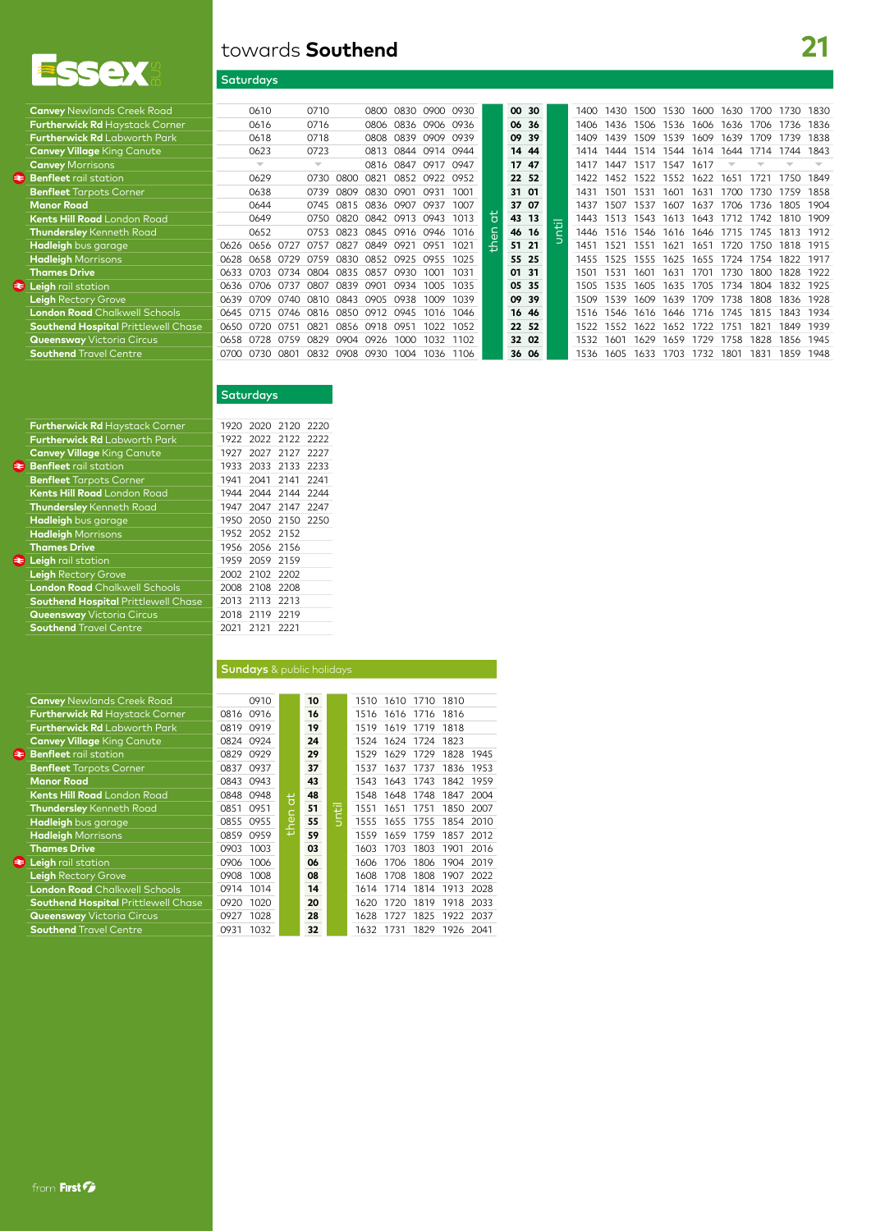

# towards **Southend**

### **Saturdays**

| <b>Canvey</b> Newlands Creek Road          |      | 0610                     | 0710                     |             | 0800                | 0830 0900 0930 |      |      |   | 00 30 | 1400 | 1430 | 1500 1530           |      | 1600 | 1630 1700                |         | 1730           | -1830 |
|--------------------------------------------|------|--------------------------|--------------------------|-------------|---------------------|----------------|------|------|---|-------|------|------|---------------------|------|------|--------------------------|---------|----------------|-------|
| <b>Furtherwick Rd Haystack Corner</b>      |      | 0616                     | 0716                     |             | 0806                | 0836 0906 0936 |      |      |   | 06 36 | 1406 | 1436 | 1506                | 1536 | 1606 | 1636 1706                |         | 1736           | 1836  |
| <b>Furtherwick Rd</b> Labworth Park        |      | 0618                     | 0718                     |             | 0808                | 0839 0909 0939 |      |      |   | 09 39 | 1409 | 1439 | 1509                | 1539 | 1609 | 1639                     | 1709    | 1739           | 1838  |
| <b>Canvey Village King Canute</b>          |      | 0623                     | 0723                     |             | 0813                | 0844 0914 0944 |      |      |   | 14 44 | 1414 | 1444 | 1514                | 1544 | 1614 | 1644                     | 1714    | 1744           | 1843  |
| <b>Canvey</b> Morrisons                    |      | $\overline{\phantom{a}}$ | $\overline{\phantom{0}}$ |             | 0816                | 0847           | 0917 | 0947 |   | 17 47 | 1417 | 1447 | 1517                | 1547 | 1617 | $\overline{\phantom{a}}$ |         |                |       |
| <b>Benfleet</b> rail station               |      | 0629                     | 0730                     | <b>0800</b> | 0821                | 0852           | 0922 | 0952 |   | 22 52 | 1422 | 1452 | 1522                | 1552 | 1622 | 1651                     | $172 -$ | 1750           | 1849  |
| <b>Benfleet Tarpots Corner</b>             |      | 0638                     | 0739                     | 0809        | 0830                | 0901           | 0931 | 1001 |   | 31 01 | 1431 | 1501 | 1531                | 1601 | 1631 | 1700                     | 1730    | 1759           | 1858  |
| Manor Road                                 |      | 0644                     | 0745                     | 0815        | 0836                | 0907           | 0937 | 1007 |   | 37 07 | 1437 | 1507 | 1537                | 1607 | 1637 | 1706                     | 1736    | 1805           | 1904  |
| <b>Kents Hill Road</b> London Road         |      | 0649                     | 0750                     | 0820        | 0842                | 0913 0943      |      | 1013 | 5 | 43 13 | 1443 | 1513 | 1543                | 1613 | 1643 | 1712                     | 1742    | 1810 1909      |       |
| <b>Thundersley</b> Kenneth Road            |      | 0652                     | 0753                     | 0823        |                     | 0845 0916 0946 |      | 1016 | န | 46 16 | 1446 |      | 1516 1546 1616      |      | 1646 | 1715 1745                |         | 1813 1912      |       |
| Hadleigh bus garage                        | 0626 | 0656 0727                | 0757                     | 0827        | 0849                | 0921           | 0951 | 1021 |   | 51 21 | 1451 | 1521 | 1551                | 1621 | 1651 | 1720                     | 1750    | 1818 1915      |       |
| <b>Hadleigh</b> Morrisons                  | 0628 | 0658                     | 0729<br>0759             |             | 0830 0852 0925 0955 |                |      | 1025 |   | 55 25 |      |      | 1455 1525 1555 1625 |      | 1655 | 1724                     |         | 1754 1822 1917 |       |
| Thames Drive                               | 0633 | 0703                     | 0734<br>0804             |             | 0835 0857           | 0930           | 1001 | 1031 |   | 01 31 | 1501 | 1531 | 1601                | 1631 | 1701 | 1730                     | 1800    | 1828 1922      |       |
| Leigh rail station                         | 0636 | 0706                     | 0737<br>0807             | 0839        | 0901                | 0934           | 1005 | 1035 |   | 05 35 | 1505 | 1535 | 1605                | 1635 | 1705 | 1734                     | 1804    | 1832           | 1925  |
| <b>Leigh</b> Rectory Grove                 | 0639 | 0709                     | 0740<br>0810             | 0843        | 0905                | 0938           | 1009 | 1039 |   | 09 39 | 1509 | 1539 | 1609                | 1639 | 1709 | 1738                     | 1808    | 1836           | 1928  |
| <b>London Road</b> Chalkwell Schools       | 0645 | .071                     | 0816<br>0746             | 0850        | 0912                | 0945           | 1016 | 1046 |   | 16 46 | 1516 | 1546 | 1616                | 1646 | 1716 | 1745                     | 1815    | 1843           | 1934  |
| <b>Southend Hospital Prittlewell Chase</b> | 0650 | 0720<br>0751             | 0821                     | 0856        | 0918                | 0951           | 1022 | 1052 |   | 22 52 | 1522 | 1552 | 1622                | 1652 | 1722 | 1751                     | 1821    | 1849           | 1939  |
| <b>Queensway</b> Victoria Circus           | 0658 | 0728                     | 0829<br>0759             | 0904        | 0926                | 1000           | 1032 | 1102 |   | 32 02 | 1532 | 1601 | 1629                | 1659 | 1729 | 1758                     | 1828    | 1856           | 1945  |
| <b>Southend Travel Centre</b>              | 0700 | 0801<br>0730             | 0832                     | 0908        | 0930                | 1004           | 1036 | 1106 |   | 36 06 | 1536 | 1605 | 1633                | 1703 | 1732 | 1801                     | 1831    | 1859           | 1948  |
|                                            |      |                          |                          |             |                     |                |      |      |   |       |      |      |                     |      |      |                          |         |                |       |

## **Saturdays**

| <b>Furtherwick Rd Haystack Corner</b>      |      | 1920 2020 2120 2220 |                |  |
|--------------------------------------------|------|---------------------|----------------|--|
| <b>Furtherwick Rd</b> Labworth Park        |      | 1922 2022 2122 2222 |                |  |
| <b>Canvey Village King Canute</b>          |      | 1927 2027 2127 2227 |                |  |
| <b>Benfleet</b> rail station               |      | 1933 2033 2133 2233 |                |  |
| <b>Benfleet Tarpots Corner</b>             | 1941 |                     | 2041 2141 2241 |  |
| Kents Hill Road London Road                |      | 1944 2044 2144 2244 |                |  |
| <b>Thundersley</b> Kenneth Road            |      | 1947 2047 2147 2247 |                |  |
| Hadleigh bus garage                        |      | 1950 2050 2150 2250 |                |  |
| <b>Hadleigh</b> Morrisons                  |      | 1952 2052 2152      |                |  |
| <b>Thames Drive</b>                        |      | 1956 2056 2156      |                |  |
| <b>Leigh</b> rail station                  |      | 1959 2059 2159      |                |  |
| <b>Leigh Rectory Grove</b>                 |      | 2002 2102 2202      |                |  |
| <b>London Road</b> Chalkwell Schools       |      | 2008 2108 2208      |                |  |
| <b>Southend Hospital Prittlewell Chase</b> | 2013 | 2113                | 2213           |  |
| <b>Queensway Victoria Circus</b>           |      | 2018 2119 2219      |                |  |
| <b>Southend Travel Centre</b>              | 2021 | 2121                | - 2221         |  |
|                                            |      |                     |                |  |

|   | <b>Canvey</b> Newlands Creek Road          |      | 0910 |
|---|--------------------------------------------|------|------|
|   | <b>Furtherwick Rd Haystack Corner</b>      | 0816 | 0916 |
|   | <b>Furtherwick Rd Labworth Park</b>        | 0819 | 0919 |
|   | <b>Canvey Village King Canute</b>          | 0824 | 0924 |
| э | <b>Benfleet</b> rail station               | 0829 | 0929 |
|   | <b>Benfleet</b> Tarpots Corner             | 0837 | 0937 |
|   | <b>Manor Road</b>                          | 0843 | 0943 |
|   | Kents Hill Road London Road                | 0848 | 0948 |
|   | <b>Thundersley</b> Kenneth Road            | 0851 | 0951 |
|   | Hadleigh bus garage                        | 0855 | 0955 |
|   | <b>Hadleigh Morrisons</b>                  | 0859 | 0959 |
|   | <b>Thames Drive</b>                        | 0903 | 1003 |
| э | Leigh rail station                         | 0906 | 1006 |
|   | <b>Leigh Rectory Grove</b>                 | 0908 | 1008 |
|   | <b>London Road</b> Chalkwell Schools       | 0914 | 1014 |
|   | <b>Southend Hospital Prittlewell Chase</b> | 0920 | 1020 |
|   | <b>Queensway Victoria Circus</b>           | 0927 | 1028 |
|   | <b>Southend</b> Travel Centre              | 0931 | 1032 |

#### Sundays & public holidays

| <b>Canvey Newlands Creek Road</b>          | 0910         |      | 10 |       |      |           | 1510 1610 1710 1810 |      |      |
|--------------------------------------------|--------------|------|----|-------|------|-----------|---------------------|------|------|
| <b>Furtherwick Rd</b> Haystack Corner      | 0816 0916    |      | 16 |       |      |           | 1516 1616 1716 1816 |      |      |
| <b>Furtherwick Rd</b> Labworth Park        | 0919<br>0819 |      | 19 |       | 1519 | 1619      | 1719                | 1818 |      |
| <b>Canvey Village King Canute</b>          | 0824 0924    |      | 24 |       | 1524 | 1624      | 1724                | 1823 |      |
| <b>Benfleet</b> rail station               | 0929<br>0829 |      | 29 |       | 1529 | 1629      | 1729                | 1828 | 1945 |
| <b>Benfleet</b> Tarpots Corner             | 0937<br>0837 |      | 37 |       | 1537 | 1637      | 1737                | 1836 | 1953 |
| <b>Manor Road</b>                          | 0943<br>0843 |      | 43 |       | 1543 | 1643      | 1743                | 1842 | 1959 |
| Kents Hill Road London Road                | 0848 0948    | đ    | 48 |       | 1548 | 1648      | 1748                | 1847 | 2004 |
| Thundersley Kenneth Road                   | 0851 0951    |      | 51 | until | 1551 | 1651      | 1751                | 1850 | 2007 |
| Hadleigh bus garage                        | 0855 0955    | then | 55 |       |      |           | 1555 1655 1755 1854 |      | 2010 |
| <b>Hadleigh</b> Morrisons                  | 0859 0959    |      | 59 |       | 1559 | 1659 1759 |                     | 1857 | 2012 |
| <b>Thames Drive</b>                        | 1003<br>0903 |      | 03 |       | 1603 | 1703      | 1803                | 1901 | 2016 |
| Leigh rail station                         | 1006<br>0906 |      | 06 |       | 1606 | 1706      | 1806                | 1904 | 2019 |
| <b>Leigh Rectory Grove</b>                 | 1008<br>0908 |      | 08 |       | 1608 | 1708      | 1808                | 1907 | 2022 |
| <b>London Road</b> Chalkwell Schools       | 1014<br>0914 |      | 14 |       | 1614 | 1714      | 1814                | 1913 | 2028 |
| <b>Southend Hospital Prittlewell Chase</b> | 1020<br>0920 |      | 20 |       | 1620 | 1720      | 1819                | 1918 | 2033 |
| <b>Queensway</b> Victoria Circus           | 1028<br>0927 |      | 28 |       | 1628 | 1727      | 1825                | 1922 | 2037 |
| <b>Southend</b> Travel Centre              | 1032<br>0931 |      | 32 |       | 1632 | 1731      | 1829                | 1926 | 2041 |
|                                            |              |      |    |       |      |           |                     |      |      |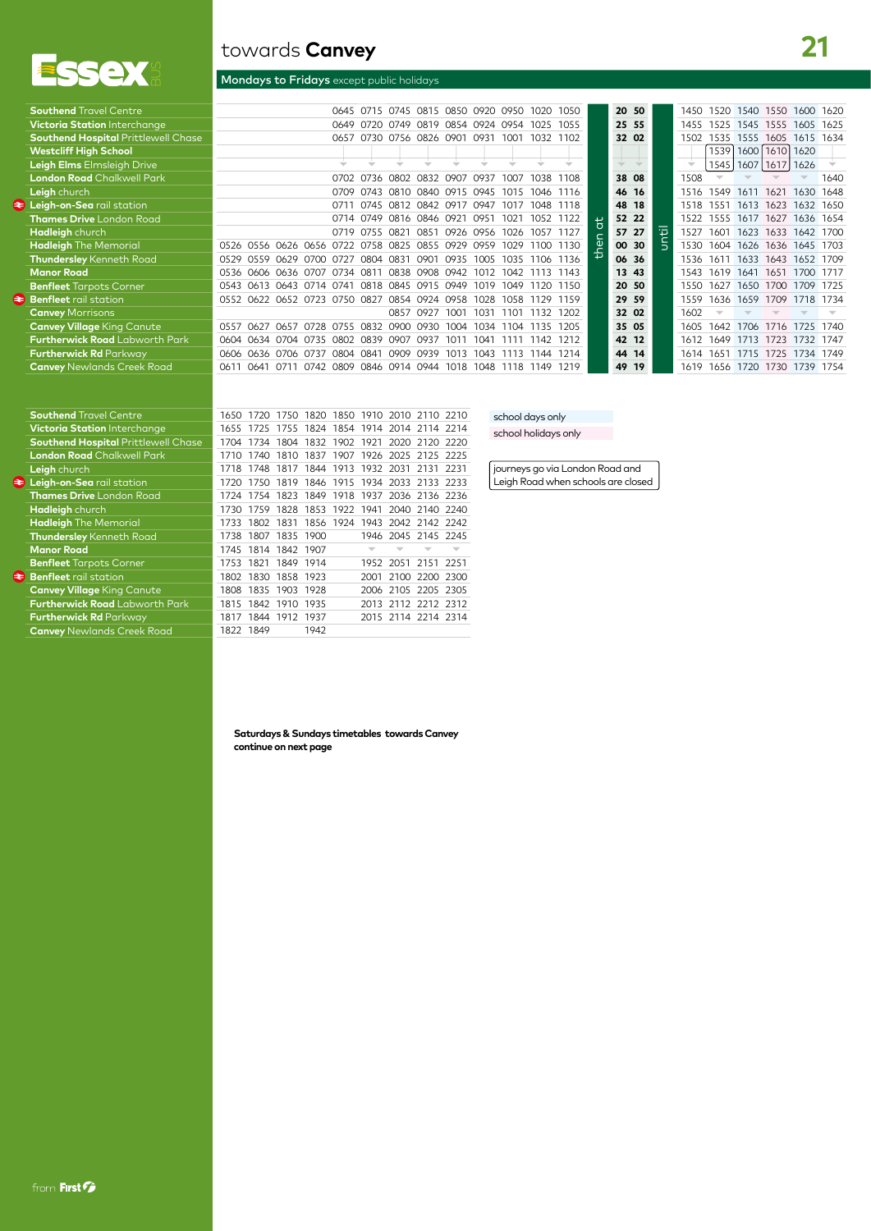

 $\epsilon$ 

 $\epsilon$ 

# towards **Canvey**

## Mondays to Fridays except public holidays

| <b>Southend Travel Centre</b>              |      |      |                          |      | 0645      | 0715      |      | 0745 0815 0850 0920 0950                               |                |      |                      | 1020      | 1050 |        |   | 20 50 |               | 1450          | 1520                     | 1540      | 1550 1600 1620      |           |      |
|--------------------------------------------|------|------|--------------------------|------|-----------|-----------|------|--------------------------------------------------------|----------------|------|----------------------|-----------|------|--------|---|-------|---------------|---------------|--------------------------|-----------|---------------------|-----------|------|
| Victoria Station Interchange               |      |      |                          |      | 0649      | 0720      | 0749 | 0819                                                   | 0854 0924 0954 |      |                      | 1025      | 1055 |        |   | 25 55 |               | 1455          | 1525                     |           | 1545 1555 1605 1625 |           |      |
| <b>Southend Hospital Prittlewell Chase</b> |      |      |                          |      | 0657      |           |      | 0730 0756 0826 0901                                    |                | 0931 | 1001                 | 1032      | 1102 |        |   | 32 02 |               | 1502          | 1535                     | 1555 1605 |                     | 1615 1634 |      |
| <b>Westcliff High School</b>               |      |      |                          |      |           |           |      |                                                        |                |      |                      |           |      |        |   |       |               |               | 1539                     |           | 1600 1610 1620      |           |      |
| <b>Leigh Elms</b> Elmsleigh Drive          |      |      |                          |      | ÷         |           |      |                                                        |                |      |                      |           |      |        | ÷ |       |               | $\rightarrow$ | 1545                     |           | 1607 1617           | 1626      |      |
| London Road Chalkwell Park                 |      |      |                          |      | 0702      | 0736      | 0802 | 0832 0907                                              |                | 0937 | 1007                 | 1038      | 1108 |        |   | 38 08 |               | 1508          |                          |           |                     |           | 1640 |
| Leigh church                               |      |      |                          |      | 0709      |           |      | 0743 0810 0840 0915 0945                               |                |      | 1015                 | 1046      | 1116 |        |   | 46 16 |               | 1516          | 1549                     | 1611      | 1621                | 1630      | 1648 |
| Leigh-on-Sea rail station                  |      |      |                          |      | 0711      | 0745      |      | 0812 0842 0917 0947                                    |                |      | 1017                 | 1048      | 1118 |        |   | 48 18 |               | 1518          | 1551                     | 1613      | 1623                | 1632 1650 |      |
| <b>Thames Drive</b> London Road            |      |      |                          |      | 0714      | 0749      |      | 0816 0846 0921 0951                                    |                |      | 1021                 | 1052      | 1122 |        |   | 52 22 |               | 1522          | 1555 1617                |           | 1627                | 1636 1654 |      |
| Hadleigh church                            |      |      |                          |      | 0719      | 0755 0821 |      | 0851                                                   | 0926 0956      |      | 1026 1057            |           | 1127 | hen at |   | 57 27 | 击             | 1527          | 1601                     | 1623      | 1633                | 1642 1700 |      |
| <b>Hadleigh</b> The Memorial               | 0526 |      | 0556 0626 0656           |      | 0722      | 0758      |      | 0825 0855 0929 0959                                    |                |      | 1029                 | 1100      | 1130 |        |   | 00 30 | $\frac{1}{2}$ | 1530          | 1604 1626 1636 1645 1703 |           |                     |           |      |
| Thundersley Kenneth Road                   | 0529 |      | 0559 0629 0700           |      | 0727      | 0804      | 0831 | 0901                                                   | 0935           | 1005 | 1035                 | 1106 1136 |      | ₽      |   | 06 36 |               | 1536          | 1611                     | 1633      | 1643                | 1652 1709 |      |
| Manor Road                                 | 0536 | 0606 | 0636 0707                |      | 0734      | 0811      |      | 0838 0908 0942                                         |                | 1012 | 1042                 | 1113      | 1143 |        |   | 13 43 |               | 1543          | 1619                     | 1641 1651 |                     | 1700 1717 |      |
| <b>Benfleet</b> Tarpots Corner             | 0543 |      | 0613 0643 0714 0741      |      |           |           |      | 0818 0845 0915 0949                                    |                | 1019 | 1049                 | 1120      | 1150 |        |   | 20 50 |               | 1550          | 1627                     | 1650      | 1700                | 1709 1725 |      |
| <b>Benfleet</b> rail station               | 0552 |      | 0622 0652 0723 0750 0827 |      |           |           |      | 0854 0924                                              | 0958           | 1028 | 1058                 | 1129      | 1159 |        |   | 29 59 |               | 1559          | 1636                     | 1659      | 1709                | 1718      | 1734 |
| <b>Canvey Morrisons</b>                    |      |      |                          |      |           |           | 0857 | 0927                                                   | 1001           | 1031 | 1101                 | 1132      | 1202 |        |   | 32 02 |               | 1602          |                          |           |                     |           |      |
| <b>Canvey Village</b> King Canute          | 0557 | 0627 |                          |      |           |           |      | 0657 0728 0755 0832 0900 0930                          | 1004           | 1034 | 1104                 | 1135      | 1205 |        |   | 35 05 |               | 1605          | 1642 1706 1716 1725 1740 |           |                     |           |      |
| <b>Furtherwick Road</b> Labworth Park      | 0604 |      | 0634 0704 0735 0802      |      |           | 0839 0907 |      | 0937                                                   | 1011           | 1041 |                      | 1142      | 1212 |        |   | 42 12 |               | 1612          | 1649                     | 1713      | 1723 1732 1747      |           |      |
| Furtherwick Rd Parkway                     | 0606 |      | 0636 0706 0737           |      |           |           |      | 0804 0841 0909 0939                                    | 1013           | 1043 | 1113                 | 1144      | 1214 |        |   | 44 14 |               | 1614          | 1651 1715 1725 1734 1749 |           |                     |           |      |
| <b>Canvey</b> Newlands Creek Road          | 0611 |      |                          |      |           |           |      | 0641 0711 0742 0809 0846 0914 0944 1018 1048 1118 1149 |                |      |                      |           | 1219 |        |   | 49 19 |               | 1619          | 1656 1720 1730 1739 1754 |           |                     |           |      |
|                                            |      |      |                          |      |           |           |      |                                                        |                |      |                      |           |      |        |   |       |               |               |                          |           |                     |           |      |
| <b>Southend Travel Centre</b>              | 1650 | 1720 | 1750                     | 1820 | 1850      | 1910      |      | 2010 2110 2210                                         |                |      | school days only     |           |      |        |   |       |               |               |                          |           |                     |           |      |
| <b>Victoria Station</b> Interchange        | 1655 | 1725 | 1755                     | 1824 | 1854 1914 |           |      | 2014 2114 2214                                         |                |      | school holidays only |           |      |        |   |       |               |               |                          |           |                     |           |      |

| Southend Travel Centre                     |                     |      |      | טו 27 טווד טווס דופו וטפאר טצאד טכסו         |  |
|--------------------------------------------|---------------------|------|------|----------------------------------------------|--|
| <b>Victoria Station Interchange</b>        |                     |      |      | 1655 1725 1755 1824 1854 1914 2014 2114 2214 |  |
| <b>Southend Hospital Prittlewell Chase</b> |                     |      |      | 1704 1734 1804 1832 1902 1921 2020 2120 2220 |  |
| <b>London Road</b> Chalkwell Park          |                     |      |      | 1710 1740 1810 1837 1907 1926 2025 2125 2225 |  |
| Leigh church                               |                     |      |      | 1718 1748 1817 1844 1913 1932 2031 2131 2231 |  |
| Leigh-on-Sea rail station                  |                     |      |      | 1720 1750 1819 1846 1915 1934 2033 2133 2233 |  |
| <b>Thames Drive</b> London Road            |                     |      |      | 1724 1754 1823 1849 1918 1937 2036 2136 2236 |  |
| Hadleigh church                            |                     |      |      | 1730 1759 1828 1853 1922 1941 2040 2140 2240 |  |
| <b>Hadleigh</b> The Memorial               |                     |      |      | 1733 1802 1831 1856 1924 1943 2042 2142 2242 |  |
| <b>Thundersley</b> Kenneth Road            | 1738 1807 1835 1900 |      |      | 1946 2045 2145 2245                          |  |
| <b>Manor Road</b>                          | 1745 1814 1842 1907 |      |      |                                              |  |
| <b>Benfleet Tarpots Corner</b>             | 1753 1821 1849 1914 |      |      | 1952 2051 2151 2251                          |  |
| $\leftarrow$ Benfleet rail station         | 1802 1830 1858 1923 |      | 2001 | 2100 2200 2300                               |  |
| <b>Canvey Village King Canute</b>          | 1808 1835 1903 1928 |      |      | 2006 2105 2205 2305                          |  |
| <b>Furtherwick Road Labworth Park</b>      | 1815 1842 1910 1935 |      |      | 2013 2112 2212 2312                          |  |
| <b>Furtherwick Rd Parkway</b>              | 1817 1844 1912 1937 |      |      | 2015 2114 2214 2314                          |  |
| <b>Canvey</b> Newlands Creek Road          | 1822 1849           | 1942 |      |                                              |  |
|                                            |                     |      |      |                                              |  |

school holidays only

journeys go via London Road and Leigh Road when schools are closed

**Saturdays & Sundays timetables towards Canvey continue on next page**